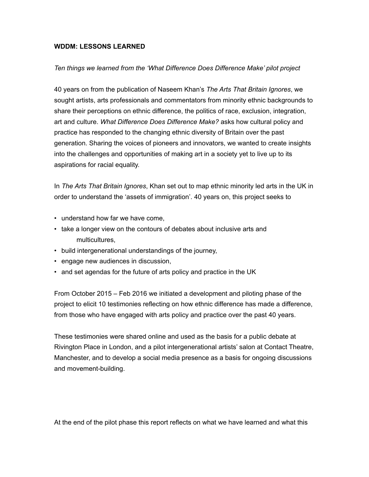## **WDDM: LESSONS LEARNED**

## *Ten things we learned from the 'What Difference Does Difference Make' pilot project*

40 years on from the publication of Naseem Khan's *The Arts That Britain Ignores*, we sought artists, arts professionals and commentators from minority ethnic backgrounds to share their perceptions on ethnic difference, the politics of race, exclusion, integration, art and culture. *What Difference Does Difference Make?* asks how cultural policy and practice has responded to the changing ethnic diversity of Britain over the past generation. Sharing the voices of pioneers and innovators, we wanted to create insights into the challenges and opportunities of making art in a society yet to live up to its aspirations for racial equality.

In *The Arts That Britain Ignores*, Khan set out to map ethnic minority led arts in the UK in order to understand the 'assets of immigration'. 40 years on, this project seeks to

- understand how far we have come,
- take a longer view on the contours of debates about inclusive arts and multicultures,
- build intergenerational understandings of the journey,
- engage new audiences in discussion,
- and set agendas for the future of arts policy and practice in the UK

From October 2015 – Feb 2016 we initiated a development and piloting phase of the project to elicit 10 testimonies reflecting on how ethnic difference has made a difference, from those who have engaged with arts policy and practice over the past 40 years.

These testimonies were shared online and used as the basis for a public debate at Rivington Place in London, and a pilot intergenerational artists' salon at Contact Theatre, Manchester, and to develop a social media presence as a basis for ongoing discussions and movement-building.

At the end of the pilot phase this report reflects on what we have learned and what this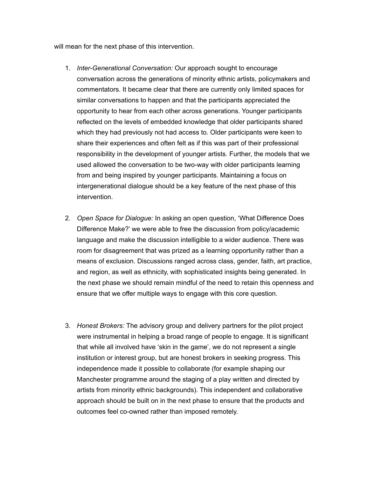will mean for the next phase of this intervention.

- 1. *Inter-Generational Conversation:* Our approach sought to encourage conversation across the generations of minority ethnic artists, policymakers and commentators. It became clear that there are currently only limited spaces for similar conversations to happen and that the participants appreciated the opportunity to hear from each other across generations. Younger participants reflected on the levels of embedded knowledge that older participants shared which they had previously not had access to. Older participants were keen to share their experiences and often felt as if this was part of their professional responsibility in the development of younger artists. Further, the models that we used allowed the conversation to be two-way with older participants learning from and being inspired by younger participants. Maintaining a focus on intergenerational dialogue should be a key feature of the next phase of this intervention.
- 2. *Open Space for Dialogue:* In asking an open question, 'What Difference Does Difference Make?' we were able to free the discussion from policy/academic language and make the discussion intelligible to a wider audience. There was room for disagreement that was prized as a learning opportunity rather than a means of exclusion. Discussions ranged across class, gender, faith, art practice, and region, as well as ethnicity, with sophisticated insights being generated. In the next phase we should remain mindful of the need to retain this openness and ensure that we offer multiple ways to engage with this core question.
- 3. *Honest Brokers:* The advisory group and delivery partners for the pilot project were instrumental in helping a broad range of people to engage. It is significant that while all involved have 'skin in the game', we do not represent a single institution or interest group, but are honest brokers in seeking progress. This independence made it possible to collaborate (for example shaping our Manchester programme around the staging of a play written and directed by artists from minority ethnic backgrounds). This independent and collaborative approach should be built on in the next phase to ensure that the products and outcomes feel co-owned rather than imposed remotely.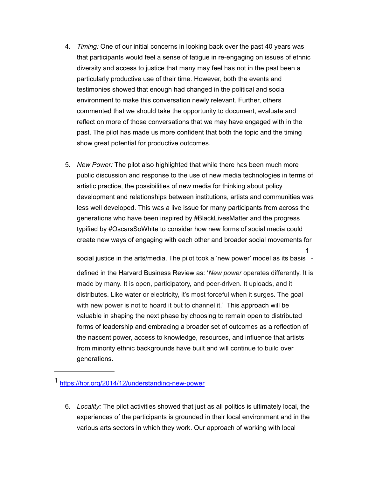- 4. *Timing:* One of our initial concerns in looking back over the past 40 years was that participants would feel a sense of fatigue in re-engaging on issues of ethnic diversity and access to justice that many may feel has not in the past been a particularly productive use of their time. However, both the events and testimonies showed that enough had changed in the political and social environment to make this conversation newly relevant. Further, others commented that we should take the opportunity to document, evaluate and reflect on more of those conversations that we may have engaged with in the past. The pilot has made us more confident that both the topic and the timing show great potential for productive outcomes.
- 5. *New Power:* The pilot also highlighted that while there has been much more public discussion and response to the use of new media technologies in terms of artistic practice, the possibilities of new media for thinking about policy development and relationships between institutions, artists and communities was less well developed. This was a live issue for many participants from across the generations who have been inspired by #BlackLivesMatter and the progress typified by #OscarsSoWhite to consider how new forms of social media could create new ways of engaging with each other and broader social movements for

social justice in the arts/media. The pilot took a 'new power' model as its basis - 1

defined in the Harvard Business Review as: '*New power* operates differently. It is made by many. It is open, participatory, and peer-driven. It uploads, and it distributes. Like water or electricity, it's most forceful when it surges. The goal with new power is not to hoard it but to channel it.' This approach will be valuable in shaping the next phase by choosing to remain open to distributed forms of leadership and embracing a broader set of outcomes as a reflection of the nascent power, access to knowledge, resources, and influence that artists from minority ethnic backgrounds have built and will continue to build over generations.

6. *Locality:* The pilot activities showed that just as all politics is ultimately local, the experiences of the participants is grounded in their local environment and in the various arts sectors in which they work. Our approach of working with local

<sup>1</sup><https://hbr.org/2014/12/understanding-new-power>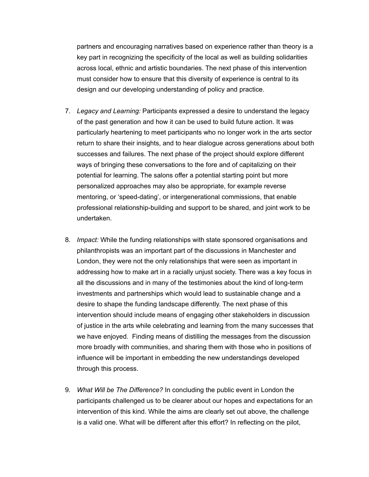partners and encouraging narratives based on experience rather than theory is a key part in recognizing the specificity of the local as well as building solidarities across local, ethnic and artistic boundaries. The next phase of this intervention must consider how to ensure that this diversity of experience is central to its design and our developing understanding of policy and practice.

- 7. *Legacy and Learning:* Participants expressed a desire to understand the legacy of the past generation and how it can be used to build future action. It was particularly heartening to meet participants who no longer work in the arts sector return to share their insights, and to hear dialogue across generations about both successes and failures. The next phase of the project should explore different ways of bringing these conversations to the fore and of capitalizing on their potential for learning. The salons offer a potential starting point but more personalized approaches may also be appropriate, for example reverse mentoring, or 'speed-dating', or intergenerational commissions, that enable professional relationship-building and support to be shared, and joint work to be undertaken.
- 8. *Impact:* While the funding relationships with state sponsored organisations and philanthropists was an important part of the discussions in Manchester and London, they were not the only relationships that were seen as important in addressing how to make art in a racially unjust society. There was a key focus in all the discussions and in many of the testimonies about the kind of long-term investments and partnerships which would lead to sustainable change and a desire to shape the funding landscape differently. The next phase of this intervention should include means of engaging other stakeholders in discussion of justice in the arts while celebrating and learning from the many successes that we have enjoyed. Finding means of distilling the messages from the discussion more broadly with communities, and sharing them with those who in positions of influence will be important in embedding the new understandings developed through this process.
- 9. *What Will be The Difference?* In concluding the public event in London the participants challenged us to be clearer about our hopes and expectations for an intervention of this kind. While the aims are clearly set out above, the challenge is a valid one. What will be different after this effort? In reflecting on the pilot,